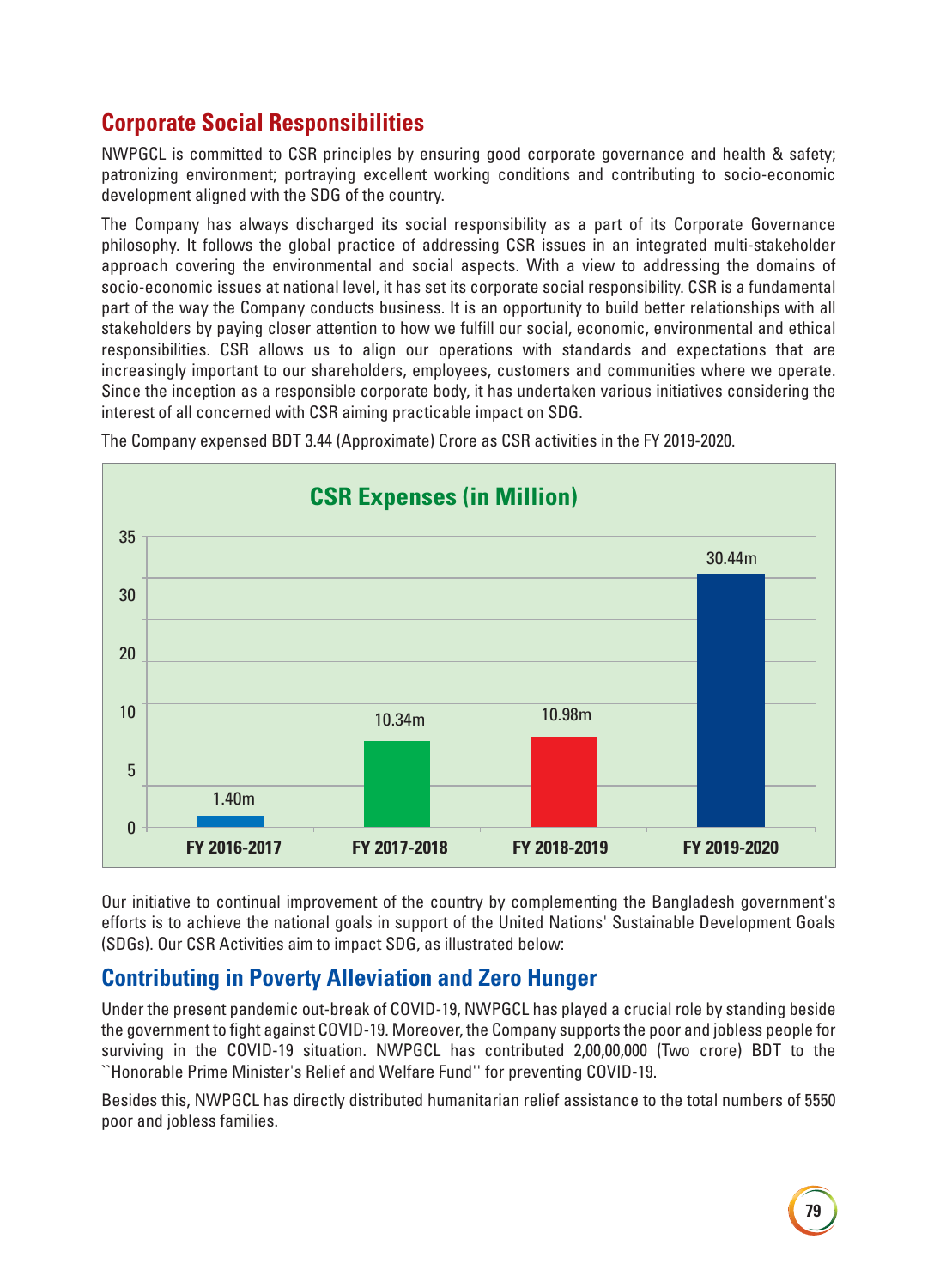# **Corporate Social Responsibilities**

NWPGCL is committed to CSR principles by ensuring good corporate governance and health & safety; patronizing environment; portraying excellent working conditions and contributing to socio-economic development aligned with the SDG of the country.

The Company has always discharged its social responsibility as a part of its Corporate Governance philosophy. It follows the global practice of addressing CSR issues in an integrated multi-stakeholder approach covering the environmental and social aspects. With a view to addressing the domains of socio-economic issues at national level, it has set its corporate social responsibility. CSR is a fundamental part of the way the Company conducts business. It is an opportunity to build better relationships with all stakeholders by paying closer attention to how we fulfill our social, economic, environmental and ethical responsibilities. CSR allows us to align our operations with standards and expectations that are increasingly important to our shareholders, employees, customers and communities where we operate. Since the inception as a responsible corporate body, it has undertaken various initiatives considering the interest of all concerned with CSR aiming practicable impact on SDG.



The Company expensed BDT 3.44 (Approximate) Crore as CSR activities in the FY 2019-2020.

Our initiative to continual improvement of the country by complementing the Bangladesh government's efforts is to achieve the national goals in support of the United Nations' Sustainable Development Goals (SDGs). Our CSR Activities aim to impact SDG, as illustrated below:

### **Contributing in Poverty Alleviation and Zero Hunger**

Under the present pandemic out-break of COVID-19, NWPGCL has played a crucial role by standing beside the government to fight against COVID-19. Moreover, the Company supports the poor and jobless people for surviving in the COVID-19 situation. NWPGCL has contributed 2,00,00,000 (Two crore) BDT to the ``Honorable Prime Minister's Relief and Welfare Fund'' for preventing COVID-19.

Besides this, NWPGCL has directly distributed humanitarian relief assistance to the total numbers of 5550 poor and jobless families.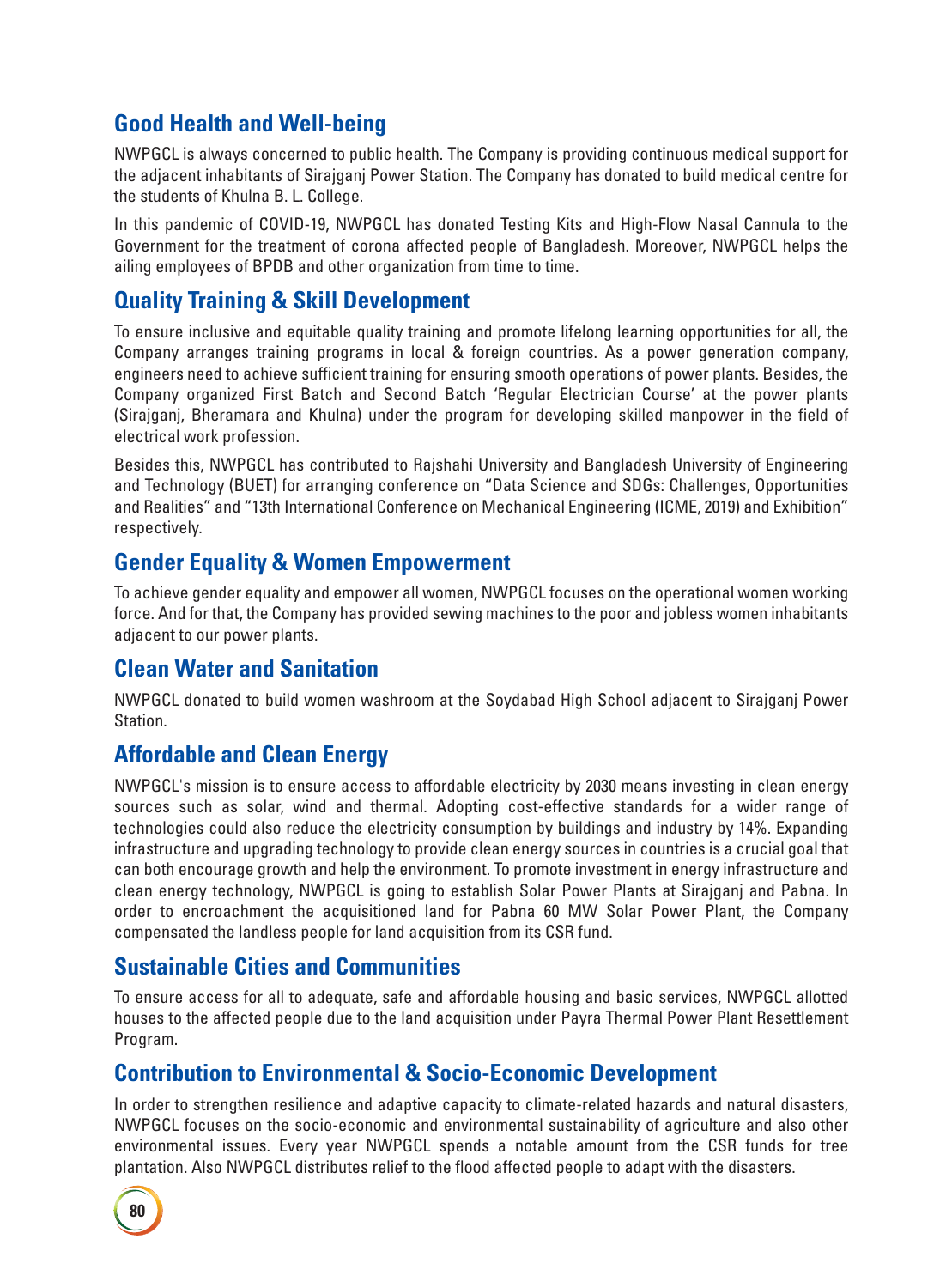## **Good Health and Well-being**

NWPGCL is always concerned to public health. The Company is providing continuous medical support for the adjacent inhabitants of Sirajganj Power Station. The Company has donated to build medical centre for the students of Khulna B. L. College.

In this pandemic of COVID-19, NWPGCL has donated Testing Kits and High-Flow Nasal Cannula to the Government for the treatment of corona affected people of Bangladesh. Moreover, NWPGCL helps the ailing employees of BPDB and other organization from time to time.

### **Quality Training & Skill Development**

To ensure inclusive and equitable quality training and promote lifelong learning opportunities for all, the Company arranges training programs in local & foreign countries. As a power generation company, engineers need to achieve sufficient training for ensuring smooth operations of power plants. Besides, the Company organized First Batch and Second Batch 'Regular Electrician Course' at the power plants (Sirajganj, Bheramara and Khulna) under the program for developing skilled manpower in the field of electrical work profession.

Besides this, NWPGCL has contributed to Rajshahi University and Bangladesh University of Engineering and Technology (BUET) for arranging conference on "Data Science and SDGs: Challenges, Opportunities and Realities" and "13th International Conference on Mechanical Engineering (ICME, 2019) and Exhibition" respectively.

### **Gender Equality & Women Empowerment**

To achieve gender equality and empower all women, NWPGCL focuses on the operational women working force. And for that, the Company has provided sewing machines to the poor and jobless women inhabitants adjacent to our power plants.

### **Clean Water and Sanitation**

NWPGCL donated to build women washroom at the Soydabad High School adjacent to Sirajganj Power Station.

#### **Affordable and Clean Energy**

NWPGCL's mission is to ensure access to affordable electricity by 2030 means investing in clean energy sources such as solar, wind and thermal. Adopting cost-effective standards for a wider range of technologies could also reduce the electricity consumption by buildings and industry by 14%. Expanding infrastructure and upgrading technology to provide clean energy sources in countries is a crucial goal that can both encourage growth and help the environment. To promote investment in energy infrastructure and clean energy technology, NWPGCL is going to establish Solar Power Plants at Sirajganj and Pabna. In order to encroachment the acquisitioned land for Pabna 60 MW Solar Power Plant, the Company compensated the landless people for land acquisition from its CSR fund.

### **Sustainable Cities and Communities**

To ensure access for all to adequate, safe and affordable housing and basic services, NWPGCL allotted houses to the affected people due to the land acquisition under Payra Thermal Power Plant Resettlement Program.

### **Contribution to Environmental & Socio-Economic Development**

In order to strengthen resilience and adaptive capacity to climate-related hazards and natural disasters, NWPGCL focuses on the socio-economic and environmental sustainability of agriculture and also other environmental issues. Every year NWPGCL spends a notable amount from the CSR funds for tree plantation. Also NWPGCL distributes relief to the flood affected people to adapt with the disasters.

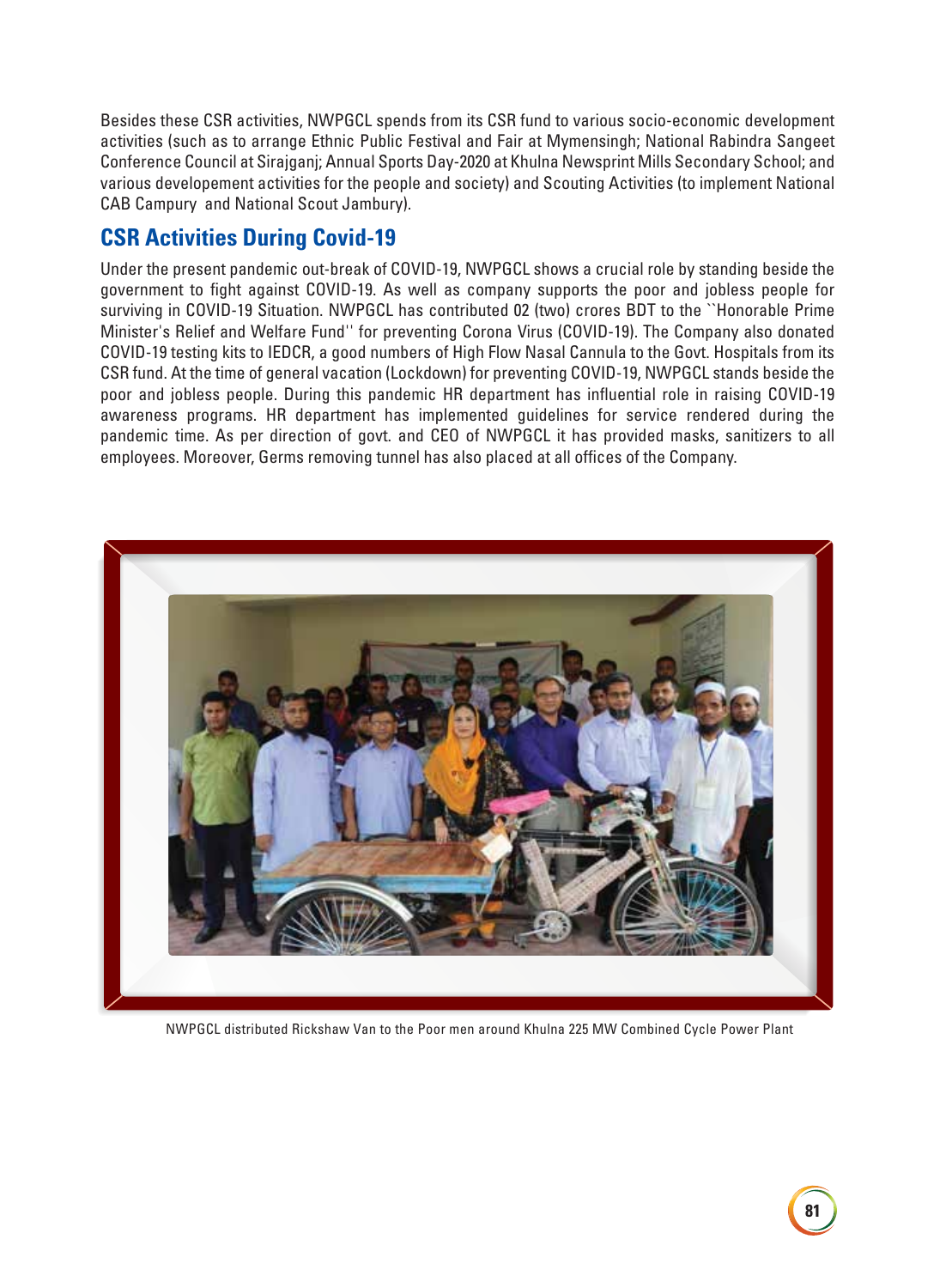Besides these CSR activities, NWPGCL spends from its CSR fund to various socio-economic development activities (such as to arrange Ethnic Public Festival and Fair at Mymensingh; National Rabindra Sangeet Conference Council at Sirajganj; Annual Sports Day-2020 at Khulna Newsprint Mills Secondary School; and various developement activities for the people and society) and Scouting Activities (to implement National CAB Campury and National Scout Jambury).

### **CSR Activities During Covid-19**

Under the present pandemic out-break of COVID-19, NWPGCL shows a crucial role by standing beside the government to fight against COVID-19. As well as company supports the poor and jobless people for surviving in COVID-19 Situation. NWPGCL has contributed 02 (two) crores BDT to the ``Honorable Prime Minister's Relief and Welfare Fund'' for preventing Corona Virus (COVID-19). The Company also donated COVID-19 testing kits to IEDCR, a good numbers of High Flow Nasal Cannula to the Govt. Hospitals from its CSR fund. At the time of general vacation (Lockdown) for preventing COVID-19, NWPGCL stands beside the poor and jobless people. During this pandemic HR department has influential role in raising COVID-19 awareness programs. HR department has implemented guidelines for service rendered during the pandemic time. As per direction of govt. and CEO of NWPGCL it has provided masks, sanitizers to all employees. Moreover, Germs removing tunnel has also placed at all offices of the Company.



NWPGCL distributed Rickshaw Van to the Poor men around Khulna 225 MW Combined Cycle Power Plant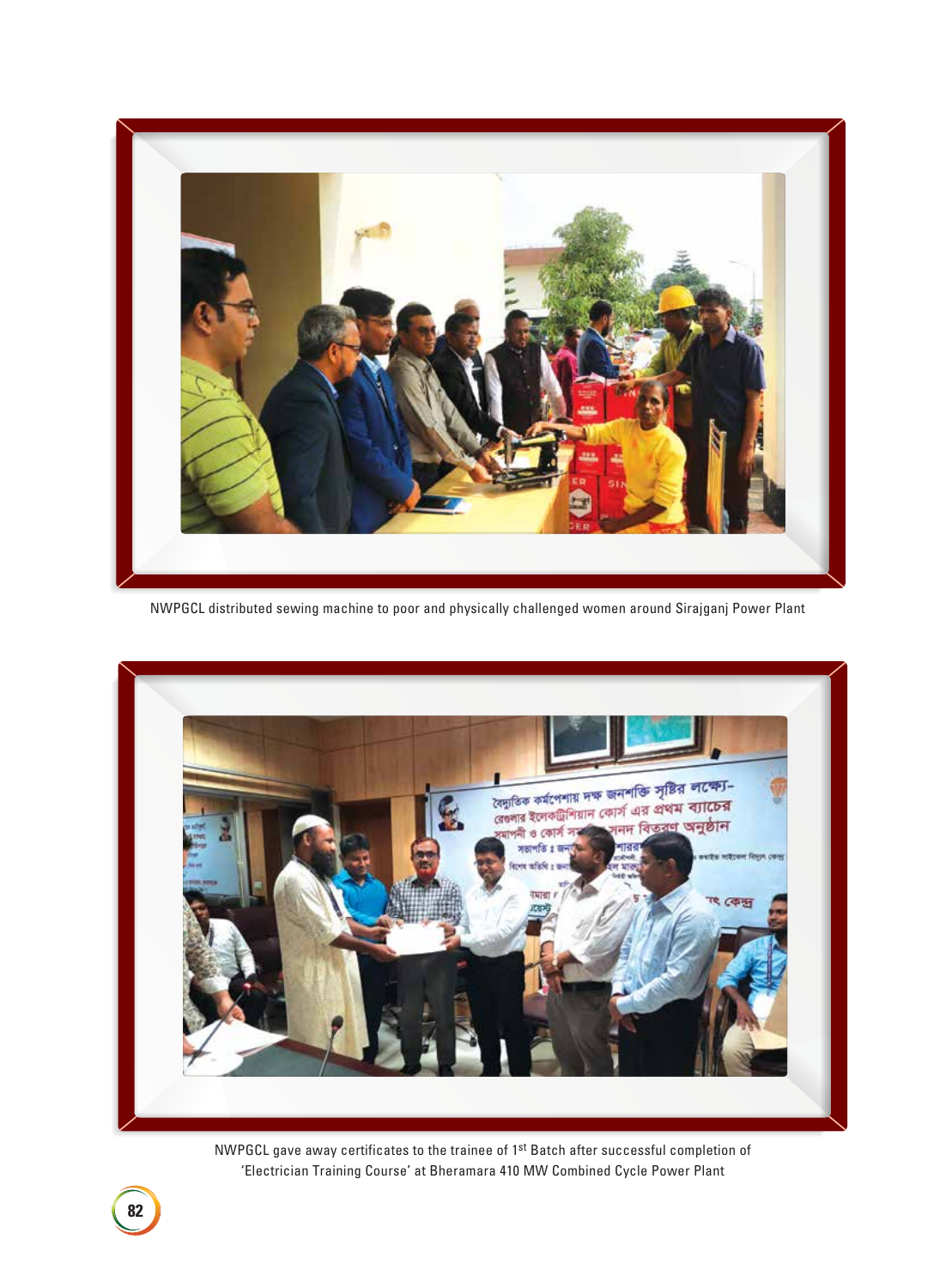

NWPGCL distributed sewing machine to poor and physically challenged women around Sirajganj Power Plant



NWPGCL gave away certificates to the trainee of 1st Batch after successful completion of 'Electrician Training Course' at Bheramara 410 MW Combined Cycle Power Plant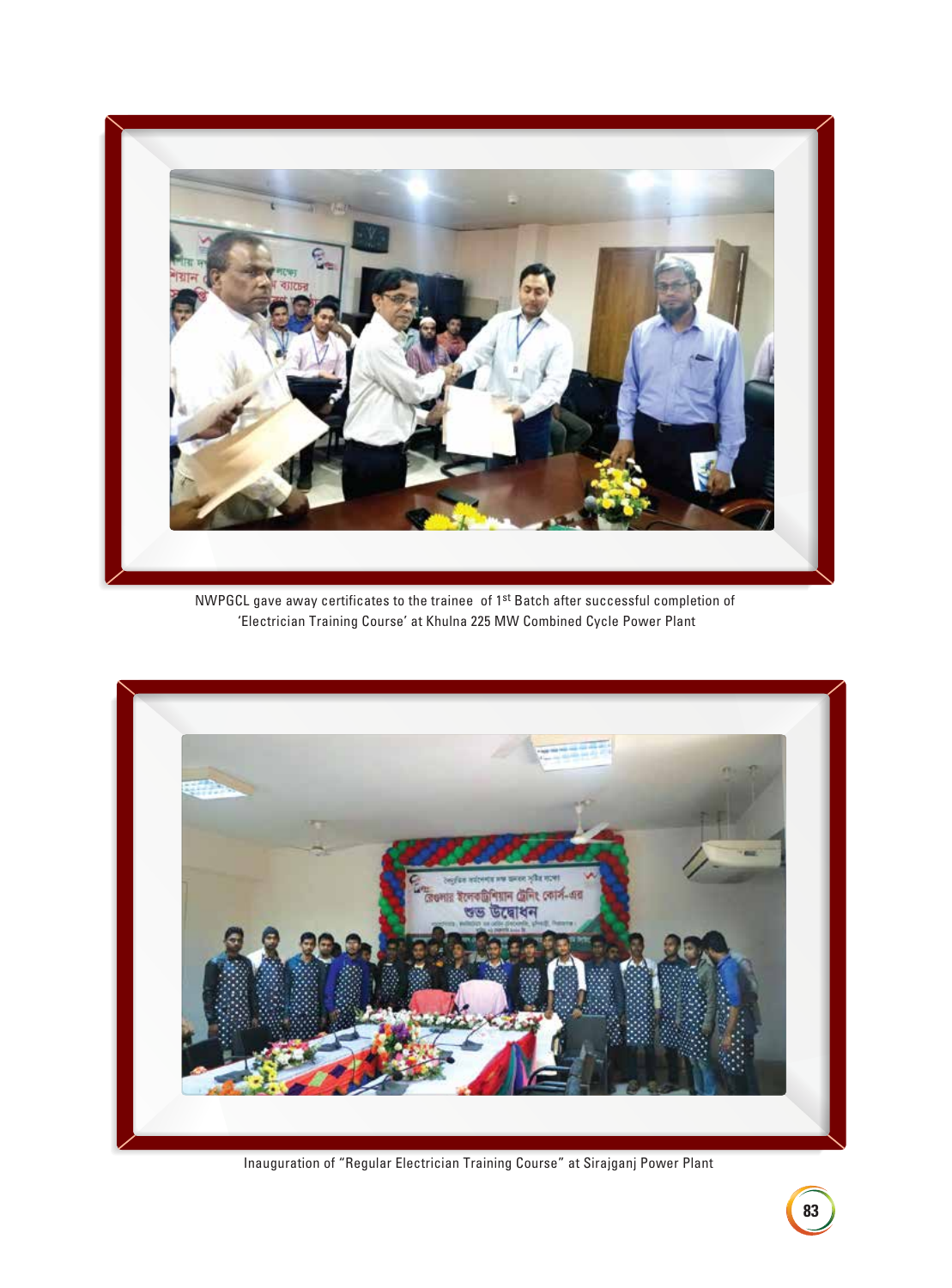

NWPGCL gave away certificates to the trainee of 1st Batch after successful completion of 'Electrician Training Course' at Khulna 225 MW Combined Cycle Power Plant



Inauguration of "Regular Electrician Training Course" at Sirajganj Power Plant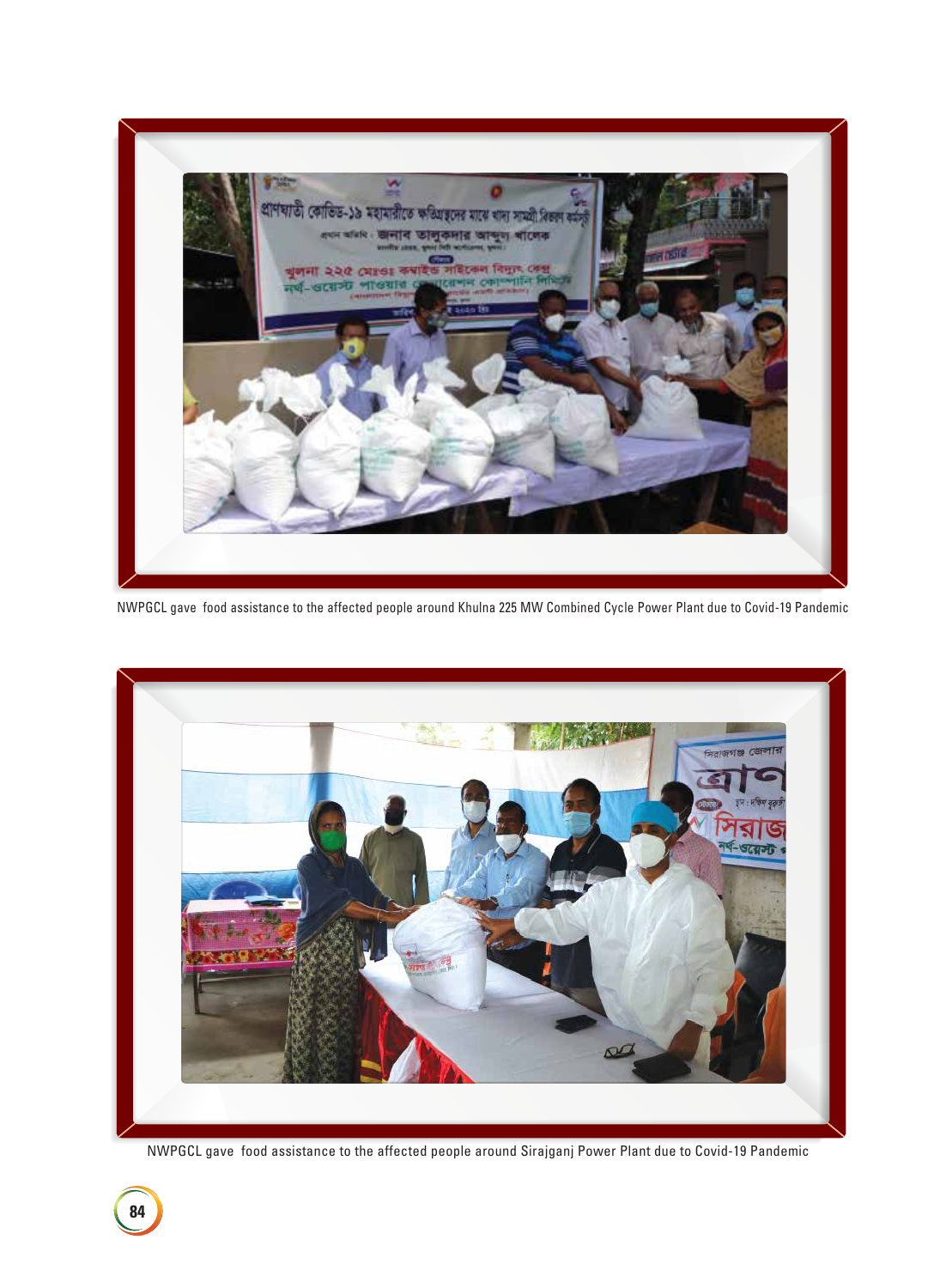

NWPGCL gave food assistance to the affected people around Khulna 225 MW Combined Cycle Power Plant due to Covid-19 Pandemic



NWPGCL gave food assistance to the affected people around Sirajganj Power Plant due to Covid-19 Pandemic